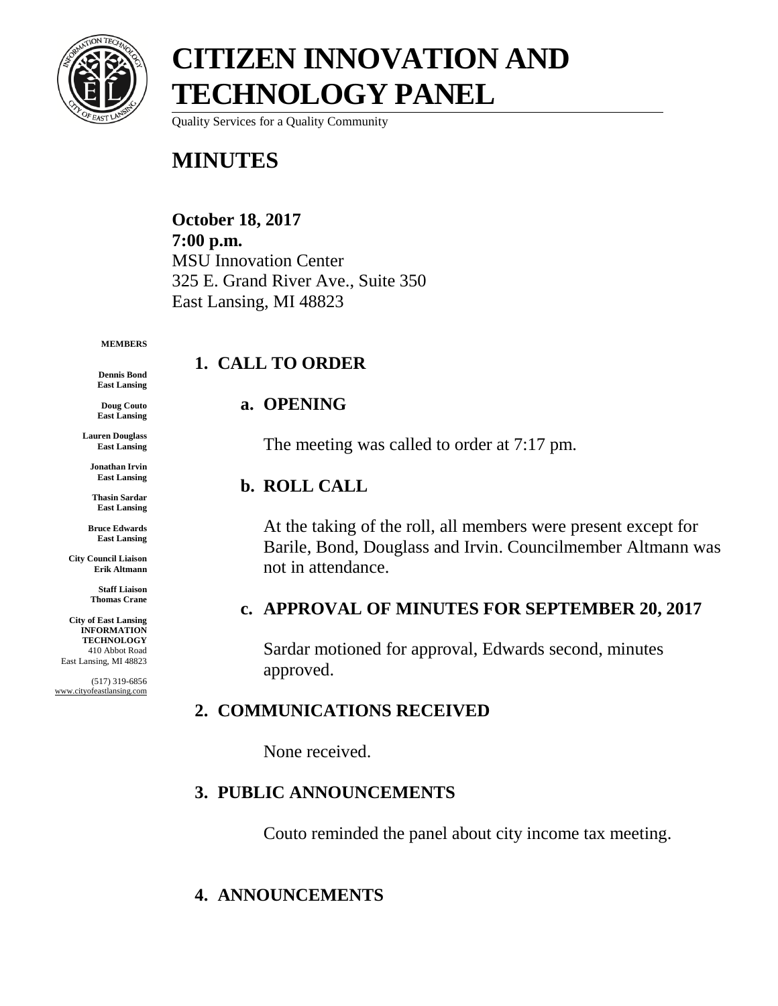

Quality Services for a Quality Community

### **MINUTES**

#### **October 18, 2017 7:00 p.m.** MSU Innovation Center 325 E. Grand River Ave., Suite 350 East Lansing, MI 48823

#### **MEMBERS**

**Dennis Bond East Lansing**

**Doug Couto East Lansing**

**Lauren Douglass East Lansing**

> **Jonathan Irvin East Lansing**

**Thasin Sardar East Lansing**

**Bruce Edwards East Lansing**

**City Council Liaison Erik Altmann**

> **Staff Liaison Thomas Crane**

**City of East Lansing INFORMATION TECHNOLOGY** 410 Abbot Road East Lansing, MI 48823

(517) 319-6856 www.cityofeastlansing.com

### **1. CALL TO ORDER**

#### **a. OPENING**

The meeting was called to order at 7:17 pm.

#### **b. ROLL CALL**

At the taking of the roll, all members were present except for Barile, Bond, Douglass and Irvin. Councilmember Altmann was not in attendance.

#### **c. APPROVAL OF MINUTES FOR SEPTEMBER 20, 2017**

Sardar motioned for approval, Edwards second, minutes approved.

#### **2. COMMUNICATIONS RECEIVED**

None received.

#### **3. PUBLIC ANNOUNCEMENTS**

Couto reminded the panel about city income tax meeting.

#### **4. ANNOUNCEMENTS**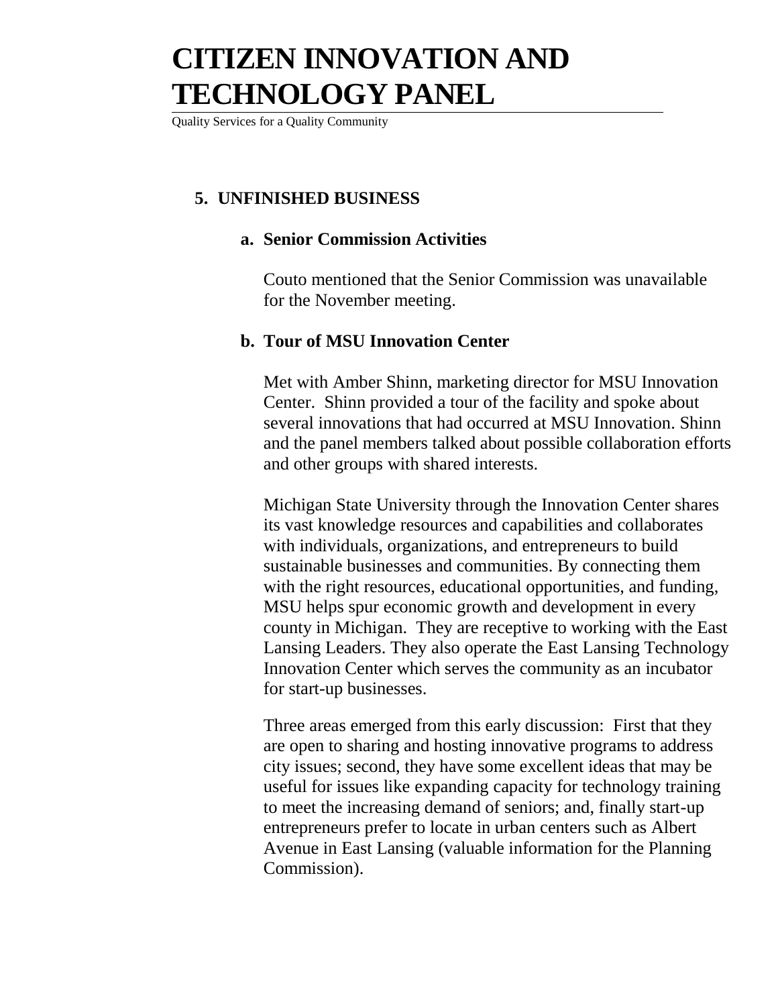Quality Services for a Quality Community

#### **5. UNFINISHED BUSINESS**

#### **a. Senior Commission Activities**

Couto mentioned that the Senior Commission was unavailable for the November meeting.

#### **b. Tour of MSU Innovation Center**

Met with Amber Shinn, marketing director for MSU Innovation Center. Shinn provided a tour of the facility and spoke about several innovations that had occurred at MSU Innovation. Shinn and the panel members talked about possible collaboration efforts and other groups with shared interests.

Michigan State University through the Innovation Center shares its vast knowledge resources and capabilities and collaborates with individuals, organizations, and entrepreneurs to build sustainable businesses and communities. By connecting them with the right resources, educational opportunities, and funding, MSU helps spur economic growth and development in every county in Michigan. They are receptive to working with the East Lansing Leaders. They also operate the East Lansing Technology Innovation Center which serves the community as an incubator for start-up businesses.

Three areas emerged from this early discussion: First that they are open to sharing and hosting innovative programs to address city issues; second, they have some excellent ideas that may be useful for issues like expanding capacity for technology training to meet the increasing demand of seniors; and, finally start-up entrepreneurs prefer to locate in urban centers such as Albert Avenue in East Lansing (valuable information for the Planning Commission).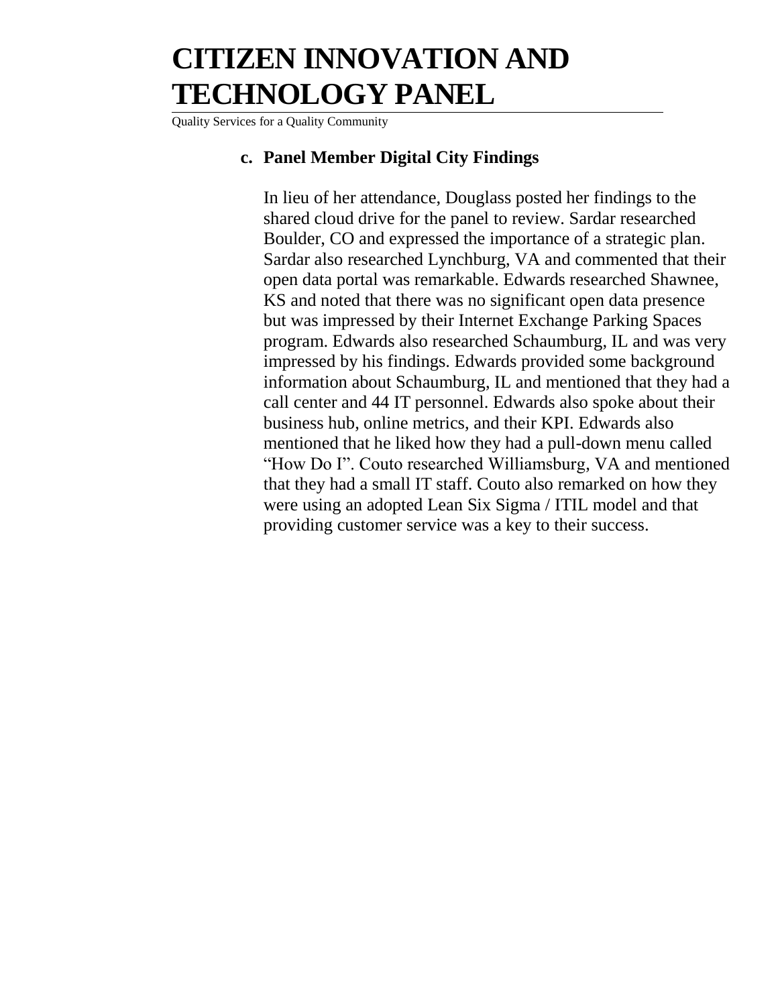Quality Services for a Quality Community

#### **c. Panel Member Digital City Findings**

In lieu of her attendance, Douglass posted her findings to the shared cloud drive for the panel to review. Sardar researched Boulder, CO and expressed the importance of a strategic plan. Sardar also researched Lynchburg, VA and commented that their open data portal was remarkable. Edwards researched Shawnee, KS and noted that there was no significant open data presence but was impressed by their Internet Exchange Parking Spaces program. Edwards also researched Schaumburg, IL and was very impressed by his findings. Edwards provided some background information about Schaumburg, IL and mentioned that they had a call center and 44 IT personnel. Edwards also spoke about their business hub, online metrics, and their KPI. Edwards also mentioned that he liked how they had a pull-down menu called "How Do I". Couto researched Williamsburg, VA and mentioned that they had a small IT staff. Couto also remarked on how they were using an adopted Lean Six Sigma / ITIL model and that providing customer service was a key to their success.